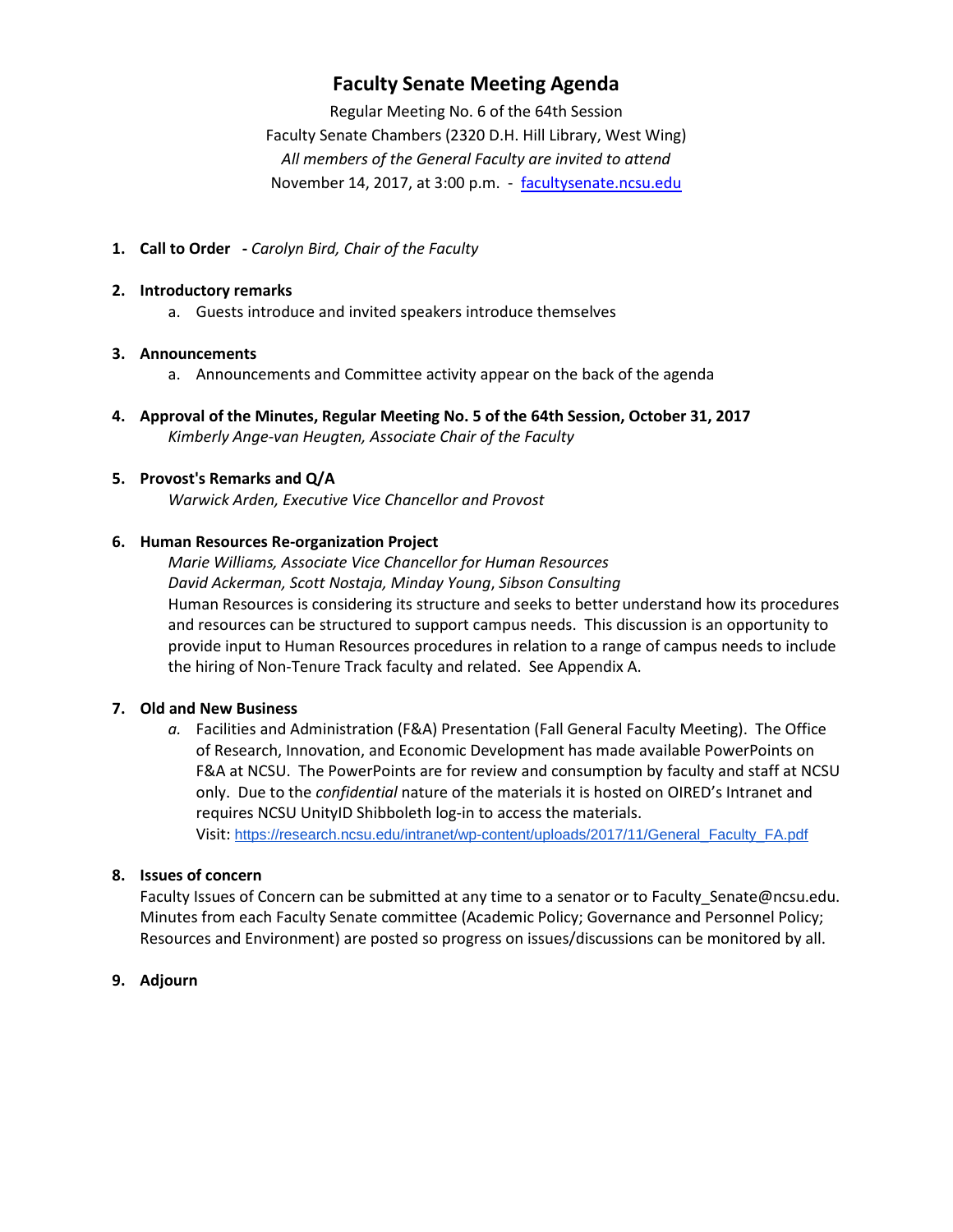## **Faculty Senate Meeting Agenda**

Regular Meeting No. 6 of the 64th Session Faculty Senate Chambers (2320 D.H. Hill Library, West Wing) *All members of the General Faculty are invited to attend* November 14, 2017, at 3:00 p.m. - [facultysenate.ncsu.edu](https://facultysenate.ncsu.edu/)

**1. Call to Order -** *Carolyn Bird, Chair of the Faculty*

### **2. Introductory remarks**

a. Guests introduce and invited speakers introduce themselves

## **3. Announcements**

- a. Announcements and Committee activity appear on the back of the agenda
- **4. Approval of the Minutes, Regular Meeting No. 5 of the 64th Session, October 31, 2017** *Kimberly Ange-van Heugten, Associate Chair of the Faculty*

## **5. Provost's Remarks and Q/A**

*Warwick Arden, Executive Vice Chancellor and Provost*

## **6. Human Resources Re-organization Project**

*Marie Williams, Associate Vice Chancellor for Human Resources David Ackerman, Scott Nostaja, Minday Young*, *Sibson Consulting* Human Resources is considering its structure and seeks to better understand how its procedures and resources can be structured to support campus needs. This discussion is an opportunity to provide input to Human Resources procedures in relation to a range of campus needs to include the hiring of Non-Tenure Track faculty and related. See Appendix A.

### **7. Old and New Business**

*a.* Facilities and Administration (F&A) Presentation (Fall General Faculty Meeting). The Office of Research, Innovation, and Economic Development has made available PowerPoints on F&A at NCSU. The PowerPoints are for review and consumption by faculty and staff at NCSU only. Due to the *confidential* nature of the materials it is hosted on OIRED's Intranet and requires NCSU UnityID Shibboleth log-in to access the materials. Visit: [https://research.ncsu.edu/intranet/wp-content/uploads/2017/11/General\\_Faculty\\_FA.pdf](https://research.ncsu.edu/intranet/wp-content/uploads/2017/11/General_Faculty_FA.pdf)

### **8. Issues of concern**

Faculty Issues of Concern can be submitted at any time to a senator or to Faculty Senate@ncsu.edu. Minutes from each Faculty Senate committee (Academic Policy; Governance and Personnel Policy; Resources and Environment) are posted so progress on issues/discussions can be monitored by all.

## **9. Adjourn**